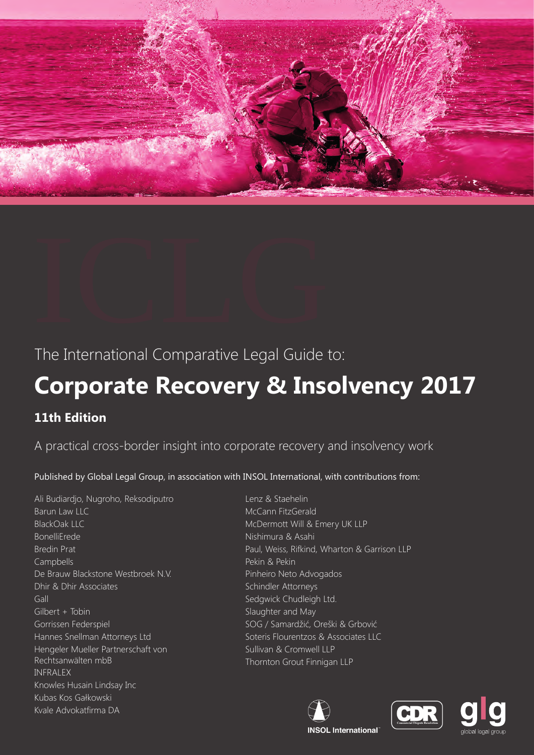



# **Corporate Recovery & Insolvency 2017**

# **11th Edition**

A practical cross-border insight into corporate recovery and insolvency work

Published by Global Legal Group, in association with INSOL International, with contributions from:

Ali Budiardjo, Nugroho, Reksodiputro Barun Law LLC BlackOak LLC BonelliErede Bredin Prat Campbells De Brauw Blackstone Westbroek N.V. Dhir & Dhir Associates Gall Gilbert + Tobin Gorrissen Federspiel Hannes Snellman Attorneys Ltd Hengeler Mueller Partnerschaft von Rechtsanwälten mbB INFRALEX Knowles Husain Lindsay Inc Kubas Kos Gałkowski Kvale Advokatfirma DA

Lenz & Staehelin McCann FitzGerald McDermott Will & Emery UK LLP Nishimura & Asahi Paul, Weiss, Rifkind, Wharton & Garrison LLP Pekin & Pekin Pinheiro Neto Advogados Schindler Attorneys Sedgwick Chudleigh Ltd. Slaughter and May SOG / Samardžić, Oreški & Grbović Soteris Flourentzos & Associates LLC Sullivan & Cromwell LLP Thornton Grout Finnigan LLP





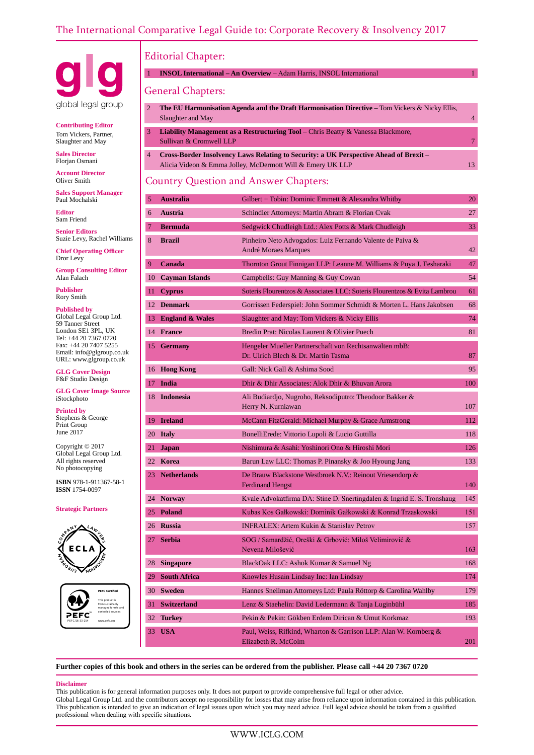

**Contributing Editor** Tom Vickers, Partner, Slaughter and May

**Sales Director** Florjan Osmani

**Account Director** Oliver Smith

**Sales Support Manager** Paul Mochalski

**Editor** Sam Friend

**Senior Editors** Suzie Levy, Rachel Williams

**Chief Operating Officer** Dror Levy

**Group Consulting Editor** Alan Falach

**Publisher** Rory Smith

**Published by** Global Legal Group Ltd. 59 Tanner Street London SE1 3PL, UK Tel: +44 20 7367 0720 Fax: +44 20 7407 5255 Email: info@glgroup.co.uk URL: www.glgroup.co.uk

**GLG Cover Design** F&F Studio Design

**GLG Cover Image Source** iStockphoto

**Printed by** Stephens & George Print Group June 2017

Copyright © 2017 Global Legal Group Ltd. All rights reserved No photocopying

**ISBN** 978-1-911367-58-1 **ISSN** 1754-0097

#### **Strategic Partners**





# Editorial Chapter:

1 **INSOL International – An Overview** – Adam Harris, INSOL International 1

# General Chapters:

|    | <b>The EU Harmonisation Agenda and the Draft Harmonisation Directive – Tom Vickers &amp; Nicky Ellis,</b> |  |  |  |
|----|-----------------------------------------------------------------------------------------------------------|--|--|--|
|    | Slaughter and May                                                                                         |  |  |  |
|    |                                                                                                           |  |  |  |
| 3. | <b>Liability Management as a Restructuring Tool</b> – Chris Beatty $\&$ Vanessa Blackmore,                |  |  |  |
|    | Sullivan & Cromwell LLP                                                                                   |  |  |  |
|    |                                                                                                           |  |  |  |
|    |                                                                                                           |  |  |  |

4 **Cross-Border Insolvency Laws Relating to Security: a UK Perspective Ahead of Brexit** – Alicia Videon & Emma Jolley, McDermott Will & Emery UK LLP 13

# Country Question and Answer Chapters:

| 5              | <b>Australia</b>           | Gilbert + Tobin: Dominic Emmett & Alexandra Whitby                                            | 20  |
|----------------|----------------------------|-----------------------------------------------------------------------------------------------|-----|
| 6              | <b>Austria</b>             | Schindler Attorneys: Martin Abram & Florian Cvak                                              | 27  |
| $\overline{7}$ | <b>Bermuda</b>             | Sedgwick Chudleigh Ltd.: Alex Potts & Mark Chudleigh                                          | 33  |
| 8              | <b>Brazil</b>              | Pinheiro Neto Advogados: Luiz Fernando Valente de Paiva &<br>André Moraes Marques             | 42  |
| 9              | Canada                     | Thornton Grout Finnigan LLP: Leanne M. Williams & Puya J. Fesharaki                           | 47  |
| 10             | <b>Cayman Islands</b>      | Campbells: Guy Manning & Guy Cowan                                                            | 54  |
| 11             | <b>Cyprus</b>              | Soteris Flourentzos & Associates LLC: Soteris Flourentzos & Evita Lambrou                     | 61  |
| 12             | <b>Denmark</b>             | Gorrissen Federspiel: John Sommer Schmidt & Morten L. Hans Jakobsen                           | 68  |
| 13.            | <b>England &amp; Wales</b> | Slaughter and May: Tom Vickers & Nicky Ellis                                                  | 74  |
| 14             | <b>France</b>              | Bredin Prat: Nicolas Laurent & Olivier Puech                                                  | 81  |
|                | 15 Germany                 | Hengeler Mueller Partnerschaft von Rechtsanwälten mbB:<br>Dr. Ulrich Blech & Dr. Martin Tasma | 87  |
| 16             | <b>Hong Kong</b>           | Gall: Nick Gall & Ashima Sood                                                                 | 95  |
| 17.            | <b>India</b>               | Dhir & Dhir Associates: Alok Dhir & Bhuvan Arora                                              | 100 |
| 18             | <b>Indonesia</b>           | Ali Budiardjo, Nugroho, Reksodiputro: Theodoor Bakker &<br>Herry N. Kurniawan                 | 107 |
| 19             | <b>Ireland</b>             | McCann FitzGerald: Michael Murphy & Grace Armstrong                                           | 112 |
|                | 20 Italy                   | BonelliErede: Vittorio Lupoli & Lucio Guttilla                                                | 118 |
| 21.            | <b>Japan</b>               | Nishimura & Asahi: Yoshinori Ono & Hiroshi Mori                                               | 126 |
|                | 22 Korea                   | Barun Law LLC: Thomas P. Pinansky & Joo Hyoung Jang                                           | 133 |
|                | 23 Netherlands             | De Brauw Blackstone Westbroek N.V.: Reinout Vriesendorp &<br><b>Ferdinand Hengst</b>          | 140 |
|                | 24 Norway                  | Kvale Advokatfirma DA: Stine D. Snertingdalen & Ingrid E. S. Tronshaug                        | 145 |
|                | 25 Poland                  | Kubas Kos Gałkowski: Dominik Gałkowski & Konrad Trzaskowski                                   | 151 |
|                | 26 Russia                  | <b>INFRALEX: Artem Kukin &amp; Stanislav Petrov</b>                                           | 157 |
| 27             | <b>Serbia</b>              | SOG / Samardžić, Oreški & Grbović: Miloš Velimirović &<br>Nevena Milošević                    | 163 |
| 28             | <b>Singapore</b>           | BlackOak LLC: Ashok Kumar & Samuel Ng                                                         | 168 |
|                | 29 South Africa            | Knowles Husain Lindsay Inc: Ian Lindsay                                                       | 174 |
| 30             | <b>Sweden</b>              | Hannes Snellman Attorneys Ltd: Paula Röttorp & Carolina Wahlby                                | 179 |
|                | 31 Switzerland             | Lenz & Staehelin: David Ledermann & Tanja Luginbühl                                           | 185 |
| 32             | <b>Turkey</b>              | Pekin & Pekin: Gökben Erdem Dirican & Umut Korkmaz                                            | 193 |
|                | 33 USA                     | Paul, Weiss, Rifkind, Wharton & Garrison LLP: Alan W. Kornberg &<br>Elizabeth R. McColm       | 201 |

**Further copies of this book and others in the series can be ordered from the publisher. Please call +44 20 7367 0720**

#### **Disclaimer**

This publication is for general information purposes only. It does not purport to provide comprehensive full legal or other advice. Global Legal Group Ltd. and the contributors accept no responsibility for losses that may arise from reliance upon information contained in this publication. This publication is intended to give an indication of legal issues upon which you may need advice. Full legal advice should be taken from a qualified professional when dealing with specific situations.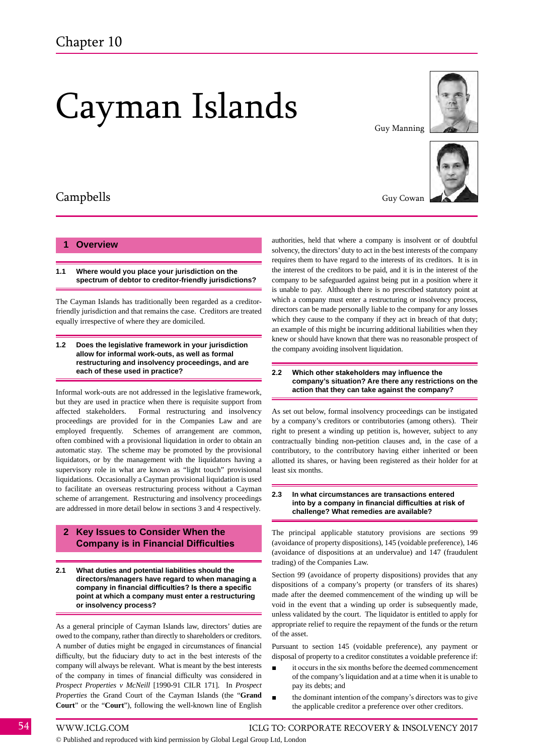# Cayman Islands



#### **1 Overview**

**1.1 Where would you place your jurisdiction on the spectrum of debtor to creditor-friendly jurisdictions?**

The Cayman Islands has traditionally been regarded as a creditorfriendly jurisdiction and that remains the case. Creditors are treated equally irrespective of where they are domiciled.

#### **1.2 Does the legislative framework in your jurisdiction allow for informal work-outs, as well as formal restructuring and insolvency proceedings, and are each of these used in practice?**

Informal work-outs are not addressed in the legislative framework, but they are used in practice when there is requisite support from affected stakeholders. Formal restructuring and insolvency proceedings are provided for in the Companies Law and are employed frequently. Schemes of arrangement are common, often combined with a provisional liquidation in order to obtain an automatic stay. The scheme may be promoted by the provisional liquidators, or by the management with the liquidators having a supervisory role in what are known as "light touch" provisional liquidations. Occasionally a Cayman provisional liquidation is used to facilitate an overseas restructuring process without a Cayman scheme of arrangement. Restructuring and insolvency proceedings are addressed in more detail below in sections 3 and 4 respectively.

#### **2 Key Issues to Consider When the Company is in Financial Difficulties**

**2.1 What duties and potential liabilities should the directors/managers have regard to when managing a company in financial difficulties? Is there a specific point at which a company must enter a restructuring or insolvency process?**

As a general principle of Cayman Islands law, directors' duties are owed to the company, rather than directly to shareholders or creditors. A number of duties might be engaged in circumstances of financial difficulty, but the fiduciary duty to act in the best interests of the company will always be relevant. What is meant by the best interests of the company in times of financial difficulty was considered in *Prospect Properties v McNeill* [1990-91 CILR 171]. In *Prospect Properties* the Grand Court of the Cayman Islands (the "**Grand Court**" or the "**Court**"), following the well-known line of English

Guy Manning



Guy Cowan

authorities, held that where a company is insolvent or of doubtful solvency, the directors' duty to act in the best interests of the company requires them to have regard to the interests of its creditors. It is in the interest of the creditors to be paid, and it is in the interest of the company to be safeguarded against being put in a position where it is unable to pay. Although there is no prescribed statutory point at which a company must enter a restructuring or insolvency process, directors can be made personally liable to the company for any losses which they cause to the company if they act in breach of that duty; an example of this might be incurring additional liabilities when they knew or should have known that there was no reasonable prospect of the company avoiding insolvent liquidation.

#### **2.2 Which other stakeholders may influence the company's situation? Are there any restrictions on the action that they can take against the company?**

As set out below, formal insolvency proceedings can be instigated by a company's creditors or contributories (among others). Their right to present a winding up petition is, however, subject to any contractually binding non-petition clauses and, in the case of a contributory, to the contributory having either inherited or been allotted its shares, or having been registered as their holder for at least six months.

#### **2.3 In what circumstances are transactions entered into by a company in financial difficulties at risk of challenge? What remedies are available?**

The principal applicable statutory provisions are sections 99 (avoidance of property dispositions), 145 (voidable preference), 146 (avoidance of dispositions at an undervalue) and 147 (fraudulent trading) of the Companies Law.

Section 99 (avoidance of property dispositions) provides that any dispositions of a company's property (or transfers of its shares) made after the deemed commencement of the winding up will be void in the event that a winding up order is subsequently made, unless validated by the court. The liquidator is entitled to apply for appropriate relief to require the repayment of the funds or the return of the asset.

Pursuant to section 145 (voidable preference), any payment or disposal of property to a creditor constitutes a voidable preference if:

- it occurs in the six months before the deemed commencement of the company's liquidation and at a time when it is unable to pay its debts; and
- the dominant intention of the company's directors was to give the applicable creditor a preference over other creditors.

54 WWW.ICLG.COM ICLG TO: CORPORATE RECOVERY & INSOLVENCY 2017

© Published and reproduced with kind permission by Global Legal Group Ltd, London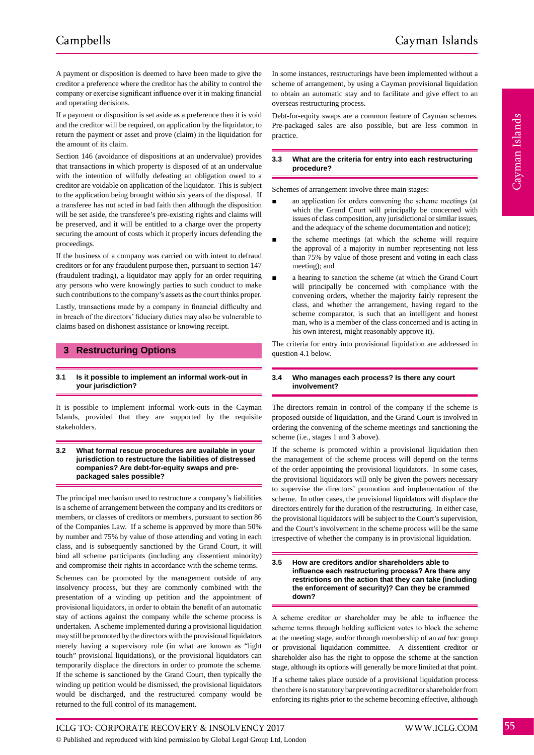A payment or disposition is deemed to have been made to give the creditor a preference where the creditor has the ability to control the company or exercise significant influence over it in making financial and operating decisions.

If a payment or disposition is set aside as a preference then it is void and the creditor will be required, on application by the liquidator, to return the payment or asset and prove (claim) in the liquidation for the amount of its claim.

Section 146 (avoidance of dispositions at an undervalue) provides that transactions in which property is disposed of at an undervalue with the intention of wilfully defeating an obligation owed to a creditor are voidable on application of the liquidator. This is subject to the application being brought within six years of the disposal. If a transferee has not acted in bad faith then although the disposition will be set aside, the transferee's pre-existing rights and claims will be preserved, and it will be entitled to a charge over the property securing the amount of costs which it properly incurs defending the proceedings.

If the business of a company was carried on with intent to defraud creditors or for any fraudulent purpose then, pursuant to section 147 (fraudulent trading), a liquidator may apply for an order requiring any persons who were knowingly parties to such conduct to make such contributions to the company's assets as the court thinks proper.

Lastly, transactions made by a company in financial difficulty and in breach of the directors' fiduciary duties may also be vulnerable to claims based on dishonest assistance or knowing receipt.

# **3 Restructuring Options**

#### **3.1 Is it possible to implement an informal work-out in your jurisdiction?**

It is possible to implement informal work-outs in the Cayman Islands, provided that they are supported by the requisite stakeholders.

#### **3.2 What formal rescue procedures are available in your jurisdiction to restructure the liabilities of distressed companies? Are debt-for-equity swaps and prepackaged sales possible?**

The principal mechanism used to restructure a company's liabilities is a scheme of arrangement between the company and its creditors or members, or classes of creditors or members, pursuant to section 86 of the Companies Law. If a scheme is approved by more than 50% by number and 75% by value of those attending and voting in each class, and is subsequently sanctioned by the Grand Court, it will bind all scheme participants (including any dissentient minority) and compromise their rights in accordance with the scheme terms.

Schemes can be promoted by the management outside of any insolvency process, but they are commonly combined with the presentation of a winding up petition and the appointment of provisional liquidators, in order to obtain the benefit of an automatic stay of actions against the company while the scheme process is undertaken. A scheme implemented during a provisional liquidation may still be promoted by the directors with the provisional liquidators merely having a supervisory role (in what are known as "light touch" provisional liquidations), or the provisional liquidators can temporarily displace the directors in order to promote the scheme. If the scheme is sanctioned by the Grand Court, then typically the winding up petition would be dismissed, the provisional liquidators would be discharged, and the restructured company would be returned to the full control of its management.

In some instances, restructurings have been implemented without a scheme of arrangement, by using a Cayman provisional liquidation to obtain an automatic stay and to facilitate and give effect to an overseas restructuring process.

Debt-for-equity swaps are a common feature of Cayman schemes. Pre-packaged sales are also possible, but are less common in practice.

#### **3.3 What are the criteria for entry into each restructuring procedure?**

Schemes of arrangement involve three main stages:

- an application for orders convening the scheme meetings (at which the Grand Court will principally be concerned with issues of class composition, any jurisdictional or similar issues, and the adequacy of the scheme documentation and notice);
- the scheme meetings (at which the scheme will require the approval of a majority in number representing not less than 75% by value of those present and voting in each class meeting); and
- a hearing to sanction the scheme (at which the Grand Court will principally be concerned with compliance with the convening orders, whether the majority fairly represent the class, and whether the arrangement, having regard to the scheme comparator, is such that an intelligent and honest man, who is a member of the class concerned and is acting in his own interest, might reasonably approve it).

The criteria for entry into provisional liquidation are addressed in question 4.1 below.

#### **3.4 Who manages each process? Is there any court involvement?**

The directors remain in control of the company if the scheme is proposed outside of liquidation, and the Grand Court is involved in ordering the convening of the scheme meetings and sanctioning the scheme (i.e., stages 1 and 3 above).

If the scheme is promoted within a provisional liquidation then the management of the scheme process will depend on the terms of the order appointing the provisional liquidators. In some cases, the provisional liquidators will only be given the powers necessary to supervise the directors' promotion and implementation of the scheme. In other cases, the provisional liquidators will displace the directors entirely for the duration of the restructuring. In either case, the provisional liquidators will be subject to the Court's supervision, and the Court's involvement in the scheme process will be the same irrespective of whether the company is in provisional liquidation.

#### **3.5 How are creditors and/or shareholders able to influence each restructuring process? Are there any restrictions on the action that they can take (including the enforcement of security)? Can they be crammed down?**

A scheme creditor or shareholder may be able to influence the scheme terms through holding sufficient votes to block the scheme at the meeting stage, and/or through membership of an *ad hoc* group or provisional liquidation committee. A dissentient creditor or shareholder also has the right to oppose the scheme at the sanction stage, although its options will generally be more limited at that point.

If a scheme takes place outside of a provisional liquidation process then there is no statutory bar preventing a creditor or shareholder from enforcing its rights prior to the scheme becoming effective, although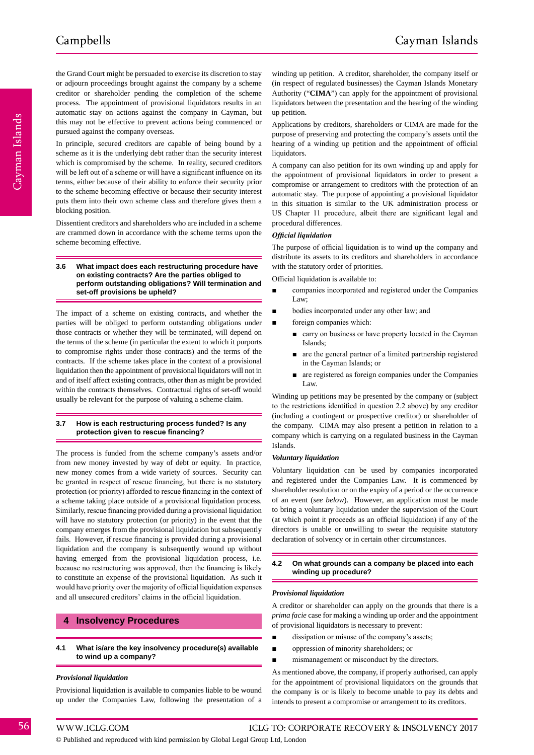the Grand Court might be persuaded to exercise its discretion to stay or adjourn proceedings brought against the company by a scheme creditor or shareholder pending the completion of the scheme process. The appointment of provisional liquidators results in an automatic stay on actions against the company in Cayman, but this may not be effective to prevent actions being commenced or pursued against the company overseas.

In principle, secured creditors are capable of being bound by a scheme as it is the underlying debt rather than the security interest which is compromised by the scheme. In reality, secured creditors will be left out of a scheme or will have a significant influence on its terms, either because of their ability to enforce their security prior to the scheme becoming effective or because their security interest puts them into their own scheme class and therefore gives them a blocking position.

Dissentient creditors and shareholders who are included in a scheme are crammed down in accordance with the scheme terms upon the scheme becoming effective.

#### **3.6 What impact does each restructuring procedure have on existing contracts? Are the parties obliged to perform outstanding obligations? Will termination and set-off provisions be upheld?**

The impact of a scheme on existing contracts, and whether the parties will be obliged to perform outstanding obligations under those contracts or whether they will be terminated, will depend on the terms of the scheme (in particular the extent to which it purports to compromise rights under those contracts) and the terms of the contracts. If the scheme takes place in the context of a provisional liquidation then the appointment of provisional liquidators will not in and of itself affect existing contracts, other than as might be provided within the contracts themselves. Contractual rights of set-off would usually be relevant for the purpose of valuing a scheme claim.

#### **3.7 How is each restructuring process funded? Is any protection given to rescue financing?**

The process is funded from the scheme company's assets and/or from new money invested by way of debt or equity. In practice, new money comes from a wide variety of sources. Security can be granted in respect of rescue financing, but there is no statutory protection (or priority) afforded to rescue financing in the context of a scheme taking place outside of a provisional liquidation process. Similarly, rescue financing provided during a provisional liquidation will have no statutory protection (or priority) in the event that the company emerges from the provisional liquidation but subsequently fails. However, if rescue financing is provided during a provisional liquidation and the company is subsequently wound up without having emerged from the provisional liquidation process, i.e. because no restructuring was approved, then the financing is likely to constitute an expense of the provisional liquidation. As such it would have priority over the majority of official liquidation expenses and all unsecured creditors' claims in the official liquidation.

#### **4 Insolvency Procedures**

#### **4.1 What is/are the key insolvency procedure(s) available to wind up a company?**

#### *Provisional liquidation*

Provisional liquidation is available to companies liable to be wound up under the Companies Law, following the presentation of a

winding up petition. A creditor, shareholder, the company itself or (in respect of regulated businesses) the Cayman Islands Monetary Authority ("**CIMA**") can apply for the appointment of provisional liquidators between the presentation and the hearing of the winding up petition.

Applications by creditors, shareholders or CIMA are made for the purpose of preserving and protecting the company's assets until the hearing of a winding up petition and the appointment of official liquidators.

A company can also petition for its own winding up and apply for the appointment of provisional liquidators in order to present a compromise or arrangement to creditors with the protection of an automatic stay. The purpose of appointing a provisional liquidator in this situation is similar to the UK administration process or US Chapter 11 procedure, albeit there are significant legal and procedural differences.

#### *Official liquidation*

The purpose of official liquidation is to wind up the company and distribute its assets to its creditors and shareholders in accordance with the statutory order of priorities.

Official liquidation is available to:

- companies incorporated and registered under the Companies Law;
- bodies incorporated under any other law; and
- foreign companies which:
	- carry on business or have property located in the Cayman Islands;
	- are the general partner of a limited partnership registered in the Cayman Islands; or
	- are registered as foreign companies under the Companies Law.

Winding up petitions may be presented by the company or (subject to the restrictions identified in question 2.2 above) by any creditor (including a contingent or prospective creditor) or shareholder of the company. CIMA may also present a petition in relation to a company which is carrying on a regulated business in the Cayman Islands.

#### *Voluntary liquidation*

Voluntary liquidation can be used by companies incorporated and registered under the Companies Law. It is commenced by shareholder resolution or on the expiry of a period or the occurrence of an event (*see below*). However, an application must be made to bring a voluntary liquidation under the supervision of the Court (at which point it proceeds as an official liquidation) if any of the directors is unable or unwilling to swear the requisite statutory declaration of solvency or in certain other circumstances.

#### **4.2 On what grounds can a company be placed into each winding up procedure?**

#### *Provisional liquidation*

A creditor or shareholder can apply on the grounds that there is a *prima facie* case for making a winding up order and the appointment of provisional liquidators is necessary to prevent:

- dissipation or misuse of the company's assets;
- oppression of minority shareholders; or
- mismanagement or misconduct by the directors.

As mentioned above, the company, if properly authorised, can apply for the appointment of provisional liquidators on the grounds that the company is or is likely to become unable to pay its debts and intends to present a compromise or arrangement to its creditors.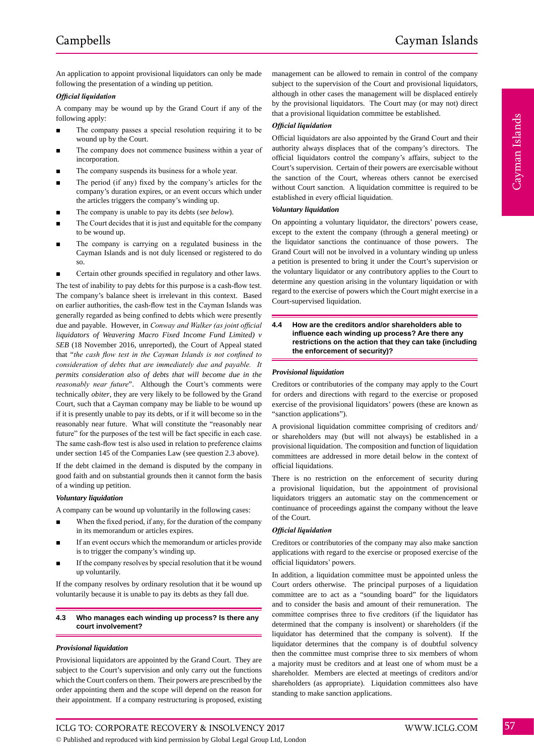Cayman Islands

Cayman Islands

An application to appoint provisional liquidators can only be made following the presentation of a winding up petition.

#### *Official liquidation*

A company may be wound up by the Grand Court if any of the following apply:

- The company passes a special resolution requiring it to be wound up by the Court.
- The company does not commence business within a year of incorporation.
- The company suspends its business for a whole year.
- The period (if any) fixed by the company's articles for the company's duration expires, or an event occurs which under the articles triggers the company's winding up.
- The company is unable to pay its debts (*see below*).
- The Court decides that it is just and equitable for the company to be wound up.
- The company is carrying on a regulated business in the Cayman Islands and is not duly licensed or registered to do so.
- Certain other grounds specified in regulatory and other laws.

The test of inability to pay debts for this purpose is a cash-flow test. The company's balance sheet is irrelevant in this context. Based on earlier authorities, the cash-flow test in the Cayman Islands was generally regarded as being confined to debts which were presently due and payable. However, in *Conway and Walker (as joint official liquidators of Weavering Macro Fixed Income Fund Limited) v SEB* (18 November 2016, unreported), the Court of Appeal stated that "*the cash flow test in the Cayman Islands is not confined to consideration of debts that are immediately due and payable. It permits consideration also of debts that will become due in the reasonably near future*". Although the Court's comments were technically *obiter*, they are very likely to be followed by the Grand Court, such that a Cayman company may be liable to be wound up if it is presently unable to pay its debts, or if it will become so in the reasonably near future. What will constitute the "reasonably near future" for the purposes of the test will be fact specific in each case. The same cash-flow test is also used in relation to preference claims under section 145 of the Companies Law (see question 2.3 above).

If the debt claimed in the demand is disputed by the company in good faith and on substantial grounds then it cannot form the basis of a winding up petition.

#### *Voluntary liquidation*

A company can be wound up voluntarily in the following cases:

- When the fixed period, if any, for the duration of the company in its memorandum or articles expires.
- If an event occurs which the memorandum or articles provide is to trigger the company's winding up.
- If the company resolves by special resolution that it be wound up voluntarily.

If the company resolves by ordinary resolution that it be wound up voluntarily because it is unable to pay its debts as they fall due.

#### **4.3 Who manages each winding up process? Is there any court involvement?**

#### *Provisional liquidation*

Provisional liquidators are appointed by the Grand Court. They are subject to the Court's supervision and only carry out the functions which the Court confers on them. Their powers are prescribed by the order appointing them and the scope will depend on the reason for their appointment. If a company restructuring is proposed, existing

management can be allowed to remain in control of the company subject to the supervision of the Court and provisional liquidators, although in other cases the management will be displaced entirely by the provisional liquidators. The Court may (or may not) direct that a provisional liquidation committee be established.

#### *Official liquidation*

Official liquidators are also appointed by the Grand Court and their authority always displaces that of the company's directors. The official liquidators control the company's affairs, subject to the Court's supervision. Certain of their powers are exercisable without the sanction of the Court, whereas others cannot be exercised without Court sanction. A liquidation committee is required to be established in every official liquidation.

#### *Voluntary liquidation*

On appointing a voluntary liquidator, the directors' powers cease, except to the extent the company (through a general meeting) or the liquidator sanctions the continuance of those powers. The Grand Court will not be involved in a voluntary winding up unless a petition is presented to bring it under the Court's supervision or the voluntary liquidator or any contributory applies to the Court to determine any question arising in the voluntary liquidation or with regard to the exercise of powers which the Court might exercise in a Court-supervised liquidation.

#### **4.4 How are the creditors and/or shareholders able to influence each winding up process? Are there any restrictions on the action that they can take (including the enforcement of security)?**

#### *Provisional liquidation*

Creditors or contributories of the company may apply to the Court for orders and directions with regard to the exercise or proposed exercise of the provisional liquidators' powers (these are known as "sanction applications").

A provisional liquidation committee comprising of creditors and/ or shareholders may (but will not always) be established in a provisional liquidation. The composition and function of liquidation committees are addressed in more detail below in the context of official liquidations.

There is no restriction on the enforcement of security during a provisional liquidation, but the appointment of provisional liquidators triggers an automatic stay on the commencement or continuance of proceedings against the company without the leave of the Court.

#### *Official liquidation*

Creditors or contributories of the company may also make sanction applications with regard to the exercise or proposed exercise of the official liquidators' powers.

In addition, a liquidation committee must be appointed unless the Court orders otherwise. The principal purposes of a liquidation committee are to act as a "sounding board" for the liquidators and to consider the basis and amount of their remuneration. The committee comprises three to five creditors (if the liquidator has determined that the company is insolvent) or shareholders (if the liquidator has determined that the company is solvent). If the liquidator determines that the company is of doubtful solvency then the committee must comprise three to six members of whom a majority must be creditors and at least one of whom must be a shareholder. Members are elected at meetings of creditors and/or shareholders (as appropriate). Liquidation committees also have standing to make sanction applications.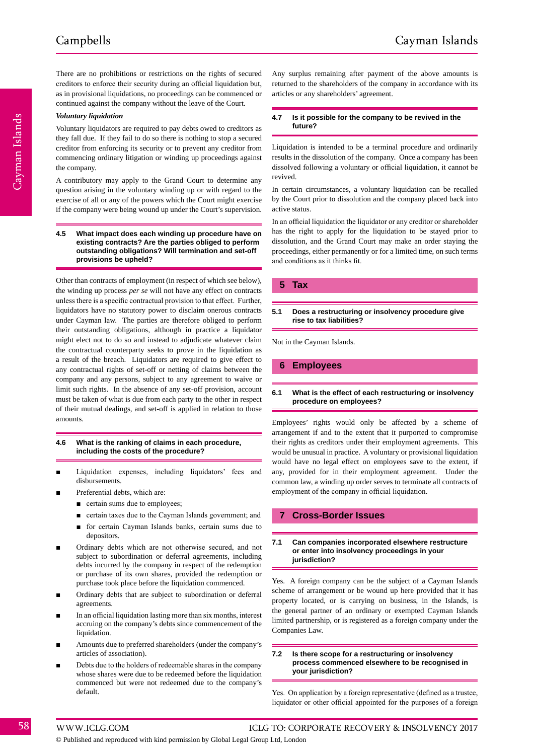There are no prohibitions or restrictions on the rights of secured creditors to enforce their security during an official liquidation but, as in provisional liquidations, no proceedings can be commenced or continued against the company without the leave of the Court.

#### *Voluntary liquidation*

Voluntary liquidators are required to pay debts owed to creditors as they fall due. If they fail to do so there is nothing to stop a secured creditor from enforcing its security or to prevent any creditor from commencing ordinary litigation or winding up proceedings against the company.

A contributory may apply to the Grand Court to determine any question arising in the voluntary winding up or with regard to the exercise of all or any of the powers which the Court might exercise if the company were being wound up under the Court's supervision.

#### **4.5 What impact does each winding up procedure have on existing contracts? Are the parties obliged to perform outstanding obligations? Will termination and set-off provisions be upheld?**

Other than contracts of employment (in respect of which see below), the winding up process *per se* will not have any effect on contracts unless there is a specific contractual provision to that effect. Further, liquidators have no statutory power to disclaim onerous contracts under Cayman law. The parties are therefore obliged to perform their outstanding obligations, although in practice a liquidator might elect not to do so and instead to adjudicate whatever claim the contractual counterparty seeks to prove in the liquidation as a result of the breach. Liquidators are required to give effect to any contractual rights of set-off or netting of claims between the company and any persons, subject to any agreement to waive or limit such rights. In the absence of any set-off provision, account must be taken of what is due from each party to the other in respect of their mutual dealings, and set-off is applied in relation to those amounts.

#### **4.6 What is the ranking of claims in each procedure, including the costs of the procedure?**

- Liquidation expenses, including liquidators' fees and disbursements.
- Preferential debts, which are:
	- certain sums due to employees;
	- certain taxes due to the Cayman Islands government; and
	- for certain Cayman Islands banks, certain sums due to depositors.
- Ordinary debts which are not otherwise secured, and not subject to subordination or deferral agreements, including debts incurred by the company in respect of the redemption or purchase of its own shares, provided the redemption or purchase took place before the liquidation commenced.
- Ordinary debts that are subject to subordination or deferral agreements.
- In an official liquidation lasting more than six months, interest accruing on the company's debts since commencement of the liquidation.
- Amounts due to preferred shareholders (under the company's articles of association).
- Debts due to the holders of redeemable shares in the company whose shares were due to be redeemed before the liquidation commenced but were not redeemed due to the company's default.

Any surplus remaining after payment of the above amounts is returned to the shareholders of the company in accordance with its articles or any shareholders' agreement.

#### **4.7 Is it possible for the company to be revived in the future?**

Liquidation is intended to be a terminal procedure and ordinarily results in the dissolution of the company. Once a company has been dissolved following a voluntary or official liquidation, it cannot be revived.

In certain circumstances, a voluntary liquidation can be recalled by the Court prior to dissolution and the company placed back into active status.

In an official liquidation the liquidator or any creditor or shareholder has the right to apply for the liquidation to be stayed prior to dissolution, and the Grand Court may make an order staying the proceedings, either permanently or for a limited time, on such terms and conditions as it thinks fit.

#### **5 Tax**

#### **5.1 Does a restructuring or insolvency procedure give rise to tax liabilities?**

Not in the Cayman Islands.

# **6 Employees**

#### **6.1 What is the effect of each restructuring or insolvency procedure on employees?**

Employees' rights would only be affected by a scheme of arrangement if and to the extent that it purported to compromise their rights as creditors under their employment agreements. This would be unusual in practice. A voluntary or provisional liquidation would have no legal effect on employees save to the extent, if any, provided for in their employment agreement. Under the common law, a winding up order serves to terminate all contracts of employment of the company in official liquidation.

# **7 Cross-Border Issues**

#### **7.1 Can companies incorporated elsewhere restructure or enter into insolvency proceedings in your jurisdiction?**

Yes. A foreign company can be the subject of a Cayman Islands scheme of arrangement or be wound up here provided that it has property located, or is carrying on business, in the Islands, is the general partner of an ordinary or exempted Cayman Islands limited partnership, or is registered as a foreign company under the Companies Law.

#### **7.2 Is there scope for a restructuring or insolvency process commenced elsewhere to be recognised in your jurisdiction?**

Yes. On application by a foreign representative (defined as a trustee, liquidator or other official appointed for the purposes of a foreign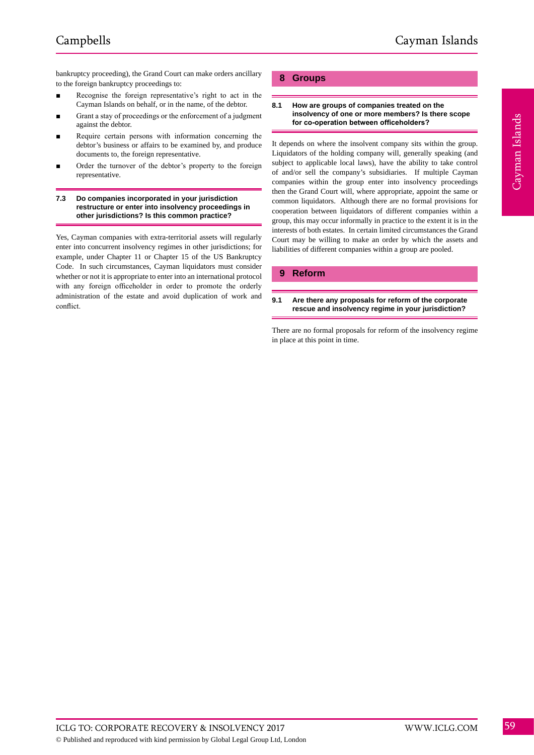bankruptcy proceeding), the Grand Court can make orders ancillary to the foreign bankruptcy proceedings to:

- Recognise the foreign representative's right to act in the Cayman Islands on behalf, or in the name, of the debtor.
- Grant a stay of proceedings or the enforcement of a judgment against the debtor.
- Require certain persons with information concerning the debtor's business or affairs to be examined by, and produce documents to, the foreign representative.
- Order the turnover of the debtor's property to the foreign representative.

#### **7.3 Do companies incorporated in your jurisdiction restructure or enter into insolvency proceedings in other jurisdictions? Is this common practice?**

Yes, Cayman companies with extra-territorial assets will regularly enter into concurrent insolvency regimes in other jurisdictions; for example, under Chapter 11 or Chapter 15 of the US Bankruptcy Code. In such circumstances, Cayman liquidators must consider whether or not it is appropriate to enter into an international protocol with any foreign officeholder in order to promote the orderly administration of the estate and avoid duplication of work and conflict.

# **8 Groups**

#### **8.1 How are groups of companies treated on the insolvency of one or more members? Is there scope for co-operation between officeholders?**

It depends on where the insolvent company sits within the group. Liquidators of the holding company will, generally speaking (and subject to applicable local laws), have the ability to take control of and/or sell the company's subsidiaries. If multiple Cayman companies within the group enter into insolvency proceedings then the Grand Court will, where appropriate, appoint the same or common liquidators. Although there are no formal provisions for cooperation between liquidators of different companies within a group, this may occur informally in practice to the extent it is in the interests of both estates. In certain limited circumstances the Grand Court may be willing to make an order by which the assets and liabilities of different companies within a group are pooled.

# **9 Reform**

#### **9.1 Are there any proposals for reform of the corporate rescue and insolvency regime in your jurisdiction?**

There are no formal proposals for reform of the insolvency regime in place at this point in time.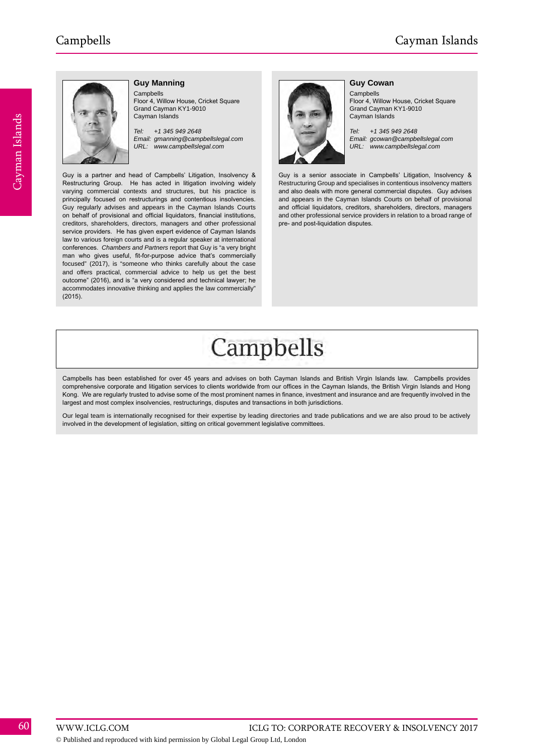

#### **Guy Manning**

Campbells Floor 4, Willow House, Cricket Square Grand Cayman KY1-9010 Cayman Islands

*Tel: +1 345 949 2648 Email: gmanning@campbellslegal.com URL: www.campbellslegal.com*

Guy is a partner and head of Campbells' Litigation, Insolvency & Restructuring Group. He has acted in litigation involving widely varying commercial contexts and structures, but his practice is principally focused on restructurings and contentious insolvencies. Guy regularly advises and appears in the Cayman Islands Courts on behalf of provisional and official liquidators, financial institutions, creditors, shareholders, directors, managers and other professional service providers. He has given expert evidence of Cayman Islands law to various foreign courts and is a regular speaker at international conferences. *Chambers and Partners* report that Guy is "a very bright man who gives useful, fit-for-purpose advice that's commercially focused" (2017), is "someone who thinks carefully about the case and offers practical, commercial advice to help us get the best outcome" (2016), and is "a very considered and technical lawyer; he accommodates innovative thinking and applies the law commercially" (2015).



#### **Guy Cowan**

Campbells Floor 4, Willow House, Cricket Square Grand Cayman KY1-9010 Cayman Islands

*Tel: +1 345 949 2648 Email: gcowan@campbellslegal.com URL: www.campbellslegal.com*

Guy is a senior associate in Campbells' Litigation, Insolvency & Restructuring Group and specialises in contentious insolvency matters and also deals with more general commercial disputes. Guy advises and appears in the Cayman Islands Courts on behalf of provisional and official liquidators, creditors, shareholders, directors, managers and other professional service providers in relation to a broad range of pre- and post-liquidation disputes.

# Campbells

Campbells has been established for over 45 years and advises on both Cayman Islands and British Virgin Islands law. Campbells provides comprehensive corporate and litigation services to clients worldwide from our offices in the Cayman Islands, the British Virgin Islands and Hong Kong. We are regularly trusted to advise some of the most prominent names in finance, investment and insurance and are frequently involved in the largest and most complex insolvencies, restructurings, disputes and transactions in both jurisdictions

Our legal team is internationally recognised for their expertise by leading directories and trade publications and we are also proud to be actively involved in the development of legislation, sitting on critical government legislative committees.